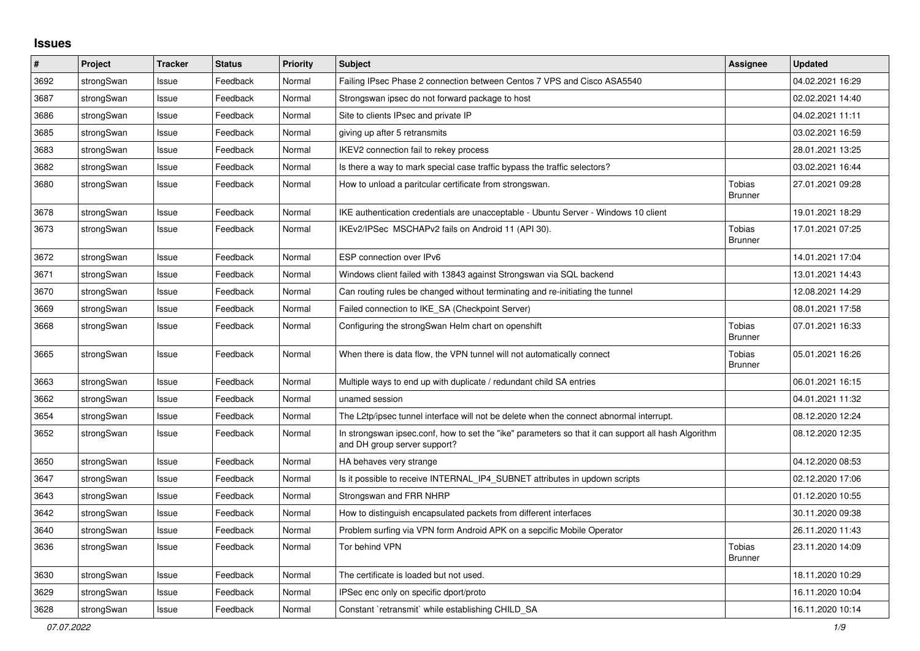## **Issues**

| #    | Project    | <b>Tracker</b> | <b>Status</b> | Priority | <b>Subject</b>                                                                                                                      | <b>Assignee</b>                 | <b>Updated</b>   |
|------|------------|----------------|---------------|----------|-------------------------------------------------------------------------------------------------------------------------------------|---------------------------------|------------------|
| 3692 | strongSwan | Issue          | Feedback      | Normal   | Failing IPsec Phase 2 connection between Centos 7 VPS and Cisco ASA5540                                                             |                                 | 04.02.2021 16:29 |
| 3687 | strongSwan | Issue          | Feedback      | Normal   | Strongswan ipsec do not forward package to host                                                                                     |                                 | 02.02.2021 14:40 |
| 3686 | strongSwan | Issue          | Feedback      | Normal   | Site to clients IPsec and private IP                                                                                                |                                 | 04.02.2021 11:11 |
| 3685 | strongSwan | Issue          | Feedback      | Normal   | giving up after 5 retransmits                                                                                                       |                                 | 03.02.2021 16:59 |
| 3683 | strongSwan | Issue          | Feedback      | Normal   | IKEV2 connection fail to rekey process                                                                                              |                                 | 28.01.2021 13:25 |
| 3682 | strongSwan | Issue          | Feedback      | Normal   | Is there a way to mark special case traffic bypass the traffic selectors?                                                           |                                 | 03.02.2021 16:44 |
| 3680 | strongSwan | Issue          | Feedback      | Normal   | How to unload a paritcular certificate from strongswan.                                                                             | Tobias<br><b>Brunner</b>        | 27.01.2021 09:28 |
| 3678 | strongSwan | Issue          | Feedback      | Normal   | IKE authentication credentials are unacceptable - Ubuntu Server - Windows 10 client                                                 |                                 | 19.01.2021 18:29 |
| 3673 | strongSwan | Issue          | Feedback      | Normal   | IKEv2/IPSec MSCHAPv2 fails on Android 11 (API 30).                                                                                  | <b>Tobias</b><br><b>Brunner</b> | 17.01.2021 07:25 |
| 3672 | strongSwan | Issue          | Feedback      | Normal   | ESP connection over IPv6                                                                                                            |                                 | 14.01.2021 17:04 |
| 3671 | strongSwan | Issue          | Feedback      | Normal   | Windows client failed with 13843 against Strongswan via SQL backend                                                                 |                                 | 13.01.2021 14:43 |
| 3670 | strongSwan | Issue          | Feedback      | Normal   | Can routing rules be changed without terminating and re-initiating the tunnel                                                       |                                 | 12.08.2021 14:29 |
| 3669 | strongSwan | Issue          | Feedback      | Normal   | Failed connection to IKE SA (Checkpoint Server)                                                                                     |                                 | 08.01.2021 17:58 |
| 3668 | strongSwan | Issue          | Feedback      | Normal   | Configuring the strongSwan Helm chart on openshift                                                                                  | Tobias<br><b>Brunner</b>        | 07.01.2021 16:33 |
| 3665 | strongSwan | Issue          | Feedback      | Normal   | When there is data flow, the VPN tunnel will not automatically connect                                                              | Tobias<br><b>Brunner</b>        | 05.01.2021 16:26 |
| 3663 | strongSwan | Issue          | Feedback      | Normal   | Multiple ways to end up with duplicate / redundant child SA entries                                                                 |                                 | 06.01.2021 16:15 |
| 3662 | strongSwan | Issue          | Feedback      | Normal   | unamed session                                                                                                                      |                                 | 04.01.2021 11:32 |
| 3654 | strongSwan | Issue          | Feedback      | Normal   | The L2tp/ipsec tunnel interface will not be delete when the connect abnormal interrupt.                                             |                                 | 08.12.2020 12:24 |
| 3652 | strongSwan | Issue          | Feedback      | Normal   | In strongswan ipsec.conf, how to set the "ike" parameters so that it can support all hash Algorithm<br>and DH group server support? |                                 | 08.12.2020 12:35 |
| 3650 | strongSwan | Issue          | Feedback      | Normal   | HA behaves very strange                                                                                                             |                                 | 04.12.2020 08:53 |
| 3647 | strongSwan | Issue          | Feedback      | Normal   | Is it possible to receive INTERNAL_IP4_SUBNET attributes in updown scripts                                                          |                                 | 02.12.2020 17:06 |
| 3643 | strongSwan | Issue          | Feedback      | Normal   | Strongswan and FRR NHRP                                                                                                             |                                 | 01.12.2020 10:55 |
| 3642 | strongSwan | Issue          | Feedback      | Normal   | How to distinguish encapsulated packets from different interfaces                                                                   |                                 | 30.11.2020 09:38 |
| 3640 | strongSwan | Issue          | Feedback      | Normal   | Problem surfing via VPN form Android APK on a sepcific Mobile Operator                                                              |                                 | 26.11.2020 11:43 |
| 3636 | strongSwan | Issue          | Feedback      | Normal   | Tor behind VPN                                                                                                                      | Tobias<br><b>Brunner</b>        | 23.11.2020 14:09 |
| 3630 | strongSwan | Issue          | Feedback      | Normal   | The certificate is loaded but not used.                                                                                             |                                 | 18.11.2020 10:29 |
| 3629 | strongSwan | Issue          | Feedback      | Normal   | IPSec enc only on specific dport/proto                                                                                              |                                 | 16.11.2020 10:04 |
| 3628 | strongSwan | Issue          | Feedback      | Normal   | Constant `retransmit` while establishing CHILD_SA                                                                                   |                                 | 16.11.2020 10:14 |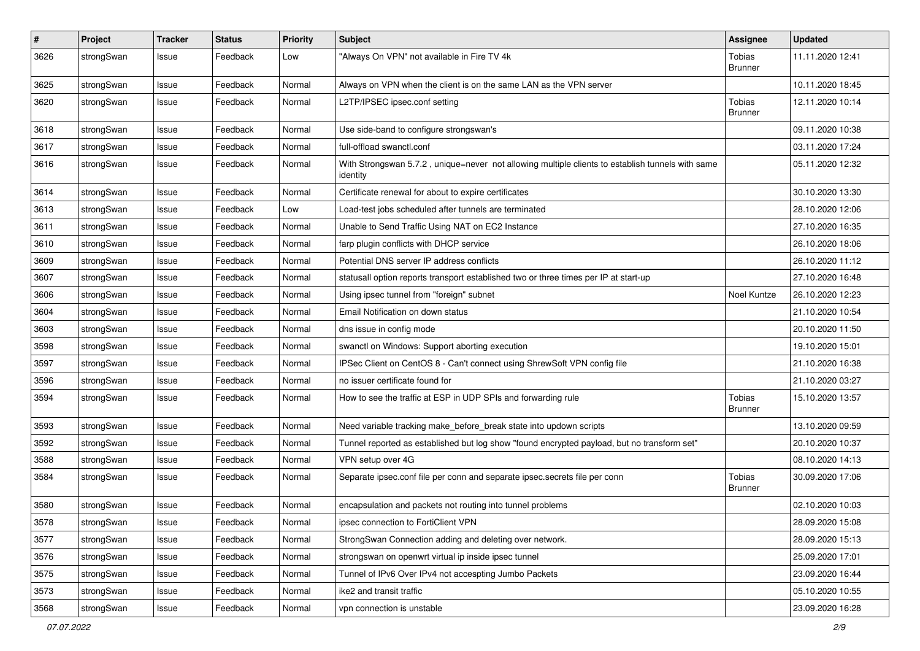| $\sharp$ | Project    | <b>Tracker</b> | <b>Status</b> | <b>Priority</b> | <b>Subject</b>                                                                                               | <b>Assignee</b>                 | <b>Updated</b>   |
|----------|------------|----------------|---------------|-----------------|--------------------------------------------------------------------------------------------------------------|---------------------------------|------------------|
| 3626     | strongSwan | Issue          | Feedback      | Low             | 'Always On VPN" not available in Fire TV 4k                                                                  | Tobias<br>Brunner               | 11.11.2020 12:41 |
| 3625     | strongSwan | Issue          | Feedback      | Normal          | Always on VPN when the client is on the same LAN as the VPN server                                           |                                 | 10.11.2020 18:45 |
| 3620     | strongSwan | Issue          | Feedback      | Normal          | L2TP/IPSEC ipsec.conf setting                                                                                | <b>Tobias</b><br>Brunner        | 12.11.2020 10:14 |
| 3618     | strongSwan | Issue          | Feedback      | Normal          | Use side-band to configure strongswan's                                                                      |                                 | 09.11.2020 10:38 |
| 3617     | strongSwan | Issue          | Feedback      | Normal          | full-offload swanctl.conf                                                                                    |                                 | 03.11.2020 17:24 |
| 3616     | strongSwan | Issue          | Feedback      | Normal          | With Strongswan 5.7.2, unique=never not allowing multiple clients to establish tunnels with same<br>identity |                                 | 05.11.2020 12:32 |
| 3614     | strongSwan | Issue          | Feedback      | Normal          | Certificate renewal for about to expire certificates                                                         |                                 | 30.10.2020 13:30 |
| 3613     | strongSwan | Issue          | Feedback      | Low             | Load-test jobs scheduled after tunnels are terminated                                                        |                                 | 28.10.2020 12:06 |
| 3611     | strongSwan | Issue          | Feedback      | Normal          | Unable to Send Traffic Using NAT on EC2 Instance                                                             |                                 | 27.10.2020 16:35 |
| 3610     | strongSwan | Issue          | Feedback      | Normal          | farp plugin conflicts with DHCP service                                                                      |                                 | 26.10.2020 18:06 |
| 3609     | strongSwan | Issue          | Feedback      | Normal          | Potential DNS server IP address conflicts                                                                    |                                 | 26.10.2020 11:12 |
| 3607     | strongSwan | Issue          | Feedback      | Normal          | statusall option reports transport established two or three times per IP at start-up                         |                                 | 27.10.2020 16:48 |
| 3606     | strongSwan | Issue          | Feedback      | Normal          | Using ipsec tunnel from "foreign" subnet                                                                     | Noel Kuntze                     | 26.10.2020 12:23 |
| 3604     | strongSwan | Issue          | Feedback      | Normal          | Email Notification on down status                                                                            |                                 | 21.10.2020 10:54 |
| 3603     | strongSwan | Issue          | Feedback      | Normal          | dns issue in config mode                                                                                     |                                 | 20.10.2020 11:50 |
| 3598     | strongSwan | Issue          | Feedback      | Normal          | swanctl on Windows: Support aborting execution                                                               |                                 | 19.10.2020 15:01 |
| 3597     | strongSwan | Issue          | Feedback      | Normal          | IPSec Client on CentOS 8 - Can't connect using ShrewSoft VPN config file                                     |                                 | 21.10.2020 16:38 |
| 3596     | strongSwan | Issue          | Feedback      | Normal          | no issuer certificate found for                                                                              |                                 | 21.10.2020 03:27 |
| 3594     | strongSwan | Issue          | Feedback      | Normal          | How to see the traffic at ESP in UDP SPIs and forwarding rule                                                | Tobias<br>Brunner               | 15.10.2020 13:57 |
| 3593     | strongSwan | Issue          | Feedback      | Normal          | Need variable tracking make_before_break state into updown scripts                                           |                                 | 13.10.2020 09:59 |
| 3592     | strongSwan | Issue          | Feedback      | Normal          | Tunnel reported as established but log show "found encrypted payload, but no transform set"                  |                                 | 20.10.2020 10:37 |
| 3588     | strongSwan | Issue          | Feedback      | Normal          | VPN setup over 4G                                                                                            |                                 | 08.10.2020 14:13 |
| 3584     | strongSwan | Issue          | Feedback      | Normal          | Separate ipsec.conf file per conn and separate ipsec.secrets file per conn                                   | <b>Tobias</b><br><b>Brunner</b> | 30.09.2020 17:06 |
| 3580     | strongSwan | Issue          | Feedback      | Normal          | encapsulation and packets not routing into tunnel problems                                                   |                                 | 02.10.2020 10:03 |
| 3578     | strongSwan | Issue          | Feedback      | Normal          | ipsec connection to FortiClient VPN                                                                          |                                 | 28.09.2020 15:08 |
| 3577     | strongSwan | Issue          | Feedback      | Normal          | StrongSwan Connection adding and deleting over network.                                                      |                                 | 28.09.2020 15:13 |
| 3576     | strongSwan | Issue          | Feedback      | Normal          | strongswan on openwrt virtual ip inside ipsec tunnel                                                         |                                 | 25.09.2020 17:01 |
| 3575     | strongSwan | Issue          | Feedback      | Normal          | Tunnel of IPv6 Over IPv4 not accespting Jumbo Packets                                                        |                                 | 23.09.2020 16:44 |
| 3573     | strongSwan | Issue          | Feedback      | Normal          | ike2 and transit traffic                                                                                     |                                 | 05.10.2020 10:55 |
| 3568     | strongSwan | Issue          | Feedback      | Normal          | vpn connection is unstable                                                                                   |                                 | 23.09.2020 16:28 |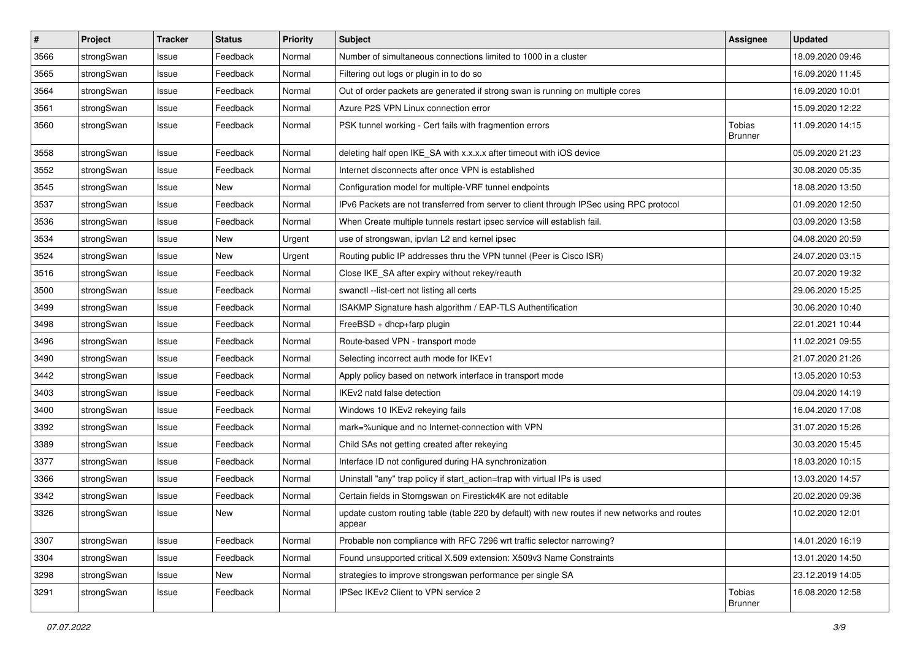| #    | Project    | <b>Tracker</b> | <b>Status</b> | <b>Priority</b> | <b>Subject</b>                                                                                          | <b>Assignee</b>   | <b>Updated</b>   |
|------|------------|----------------|---------------|-----------------|---------------------------------------------------------------------------------------------------------|-------------------|------------------|
| 3566 | strongSwan | Issue          | Feedback      | Normal          | Number of simultaneous connections limited to 1000 in a cluster                                         |                   | 18.09.2020 09:46 |
| 3565 | strongSwan | Issue          | Feedback      | Normal          | Filtering out logs or plugin in to do so                                                                |                   | 16.09.2020 11:45 |
| 3564 | strongSwan | Issue          | Feedback      | Normal          | Out of order packets are generated if strong swan is running on multiple cores                          |                   | 16.09.2020 10:01 |
| 3561 | strongSwan | Issue          | Feedback      | Normal          | Azure P2S VPN Linux connection error                                                                    |                   | 15.09.2020 12:22 |
| 3560 | strongSwan | Issue          | Feedback      | Normal          | PSK tunnel working - Cert fails with fragmention errors                                                 | Tobias<br>Brunner | 11.09.2020 14:15 |
| 3558 | strongSwan | Issue          | Feedback      | Normal          | deleting half open IKE_SA with x.x.x.x after timeout with iOS device                                    |                   | 05.09.2020 21:23 |
| 3552 | strongSwan | Issue          | Feedback      | Normal          | Internet disconnects after once VPN is established                                                      |                   | 30.08.2020 05:35 |
| 3545 | strongSwan | Issue          | New           | Normal          | Configuration model for multiple-VRF tunnel endpoints                                                   |                   | 18.08.2020 13:50 |
| 3537 | strongSwan | Issue          | Feedback      | Normal          | IPv6 Packets are not transferred from server to client through IPSec using RPC protocol                 |                   | 01.09.2020 12:50 |
| 3536 | strongSwan | Issue          | Feedback      | Normal          | When Create multiple tunnels restart ipsec service will establish fail.                                 |                   | 03.09.2020 13:58 |
| 3534 | strongSwan | Issue          | New           | Urgent          | use of strongswan, ipvlan L2 and kernel ipsec                                                           |                   | 04.08.2020 20:59 |
| 3524 | strongSwan | Issue          | <b>New</b>    | Urgent          | Routing public IP addresses thru the VPN tunnel (Peer is Cisco ISR)                                     |                   | 24.07.2020 03:15 |
| 3516 | strongSwan | Issue          | Feedback      | Normal          | Close IKE_SA after expiry without rekey/reauth                                                          |                   | 20.07.2020 19:32 |
| 3500 | strongSwan | Issue          | Feedback      | Normal          | swanctl --list-cert not listing all certs                                                               |                   | 29.06.2020 15:25 |
| 3499 | strongSwan | Issue          | Feedback      | Normal          | ISAKMP Signature hash algorithm / EAP-TLS Authentification                                              |                   | 30.06.2020 10:40 |
| 3498 | strongSwan | Issue          | Feedback      | Normal          | FreeBSD + dhcp+farp plugin                                                                              |                   | 22.01.2021 10:44 |
| 3496 | strongSwan | Issue          | Feedback      | Normal          | Route-based VPN - transport mode                                                                        |                   | 11.02.2021 09:55 |
| 3490 | strongSwan | Issue          | Feedback      | Normal          | Selecting incorrect auth mode for IKEv1                                                                 |                   | 21.07.2020 21:26 |
| 3442 | strongSwan | Issue          | Feedback      | Normal          | Apply policy based on network interface in transport mode                                               |                   | 13.05.2020 10:53 |
| 3403 | strongSwan | Issue          | Feedback      | Normal          | IKEv2 natd false detection                                                                              |                   | 09.04.2020 14:19 |
| 3400 | strongSwan | Issue          | Feedback      | Normal          | Windows 10 IKEv2 rekeying fails                                                                         |                   | 16.04.2020 17:08 |
| 3392 | strongSwan | Issue          | Feedback      | Normal          | mark=%unique and no Internet-connection with VPN                                                        |                   | 31.07.2020 15:26 |
| 3389 | strongSwan | Issue          | Feedback      | Normal          | Child SAs not getting created after rekeying                                                            |                   | 30.03.2020 15:45 |
| 3377 | strongSwan | Issue          | Feedback      | Normal          | Interface ID not configured during HA synchronization                                                   |                   | 18.03.2020 10:15 |
| 3366 | strongSwan | Issue          | Feedback      | Normal          | Uninstall "any" trap policy if start_action=trap with virtual IPs is used                               |                   | 13.03.2020 14:57 |
| 3342 | strongSwan | Issue          | Feedback      | Normal          | Certain fields in Storngswan on Firestick4K are not editable                                            |                   | 20.02.2020 09:36 |
| 3326 | strongSwan | Issue          | New           | Normal          | update custom routing table (table 220 by default) with new routes if new networks and routes<br>appear |                   | 10.02.2020 12:01 |
| 3307 | strongSwan | Issue          | Feedback      | Normal          | Probable non compliance with RFC 7296 wrt traffic selector narrowing?                                   |                   | 14.01.2020 16:19 |
| 3304 | strongSwan | Issue          | Feedback      | Normal          | Found unsupported critical X.509 extension: X509v3 Name Constraints                                     |                   | 13.01.2020 14:50 |
| 3298 | strongSwan | Issue          | New           | Normal          | strategies to improve strongswan performance per single SA                                              |                   | 23.12.2019 14:05 |
| 3291 | strongSwan | Issue          | Feedback      | Normal          | IPSec IKEv2 Client to VPN service 2                                                                     | Tobias<br>Brunner | 16.08.2020 12:58 |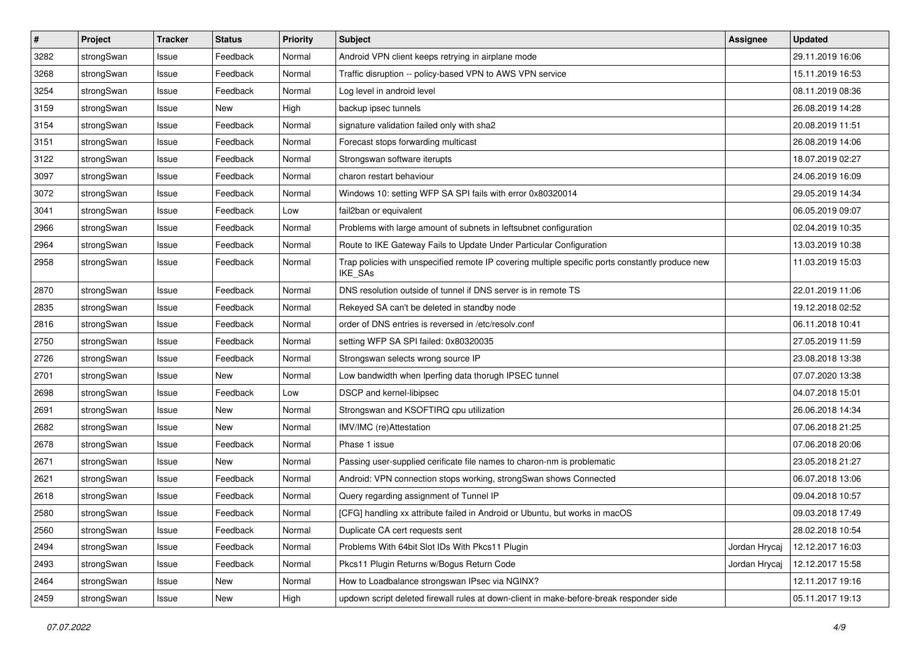| $\pmb{\#}$ | Project    | <b>Tracker</b> | <b>Status</b> | <b>Priority</b> | <b>Subject</b>                                                                                                     | Assignee      | <b>Updated</b>   |
|------------|------------|----------------|---------------|-----------------|--------------------------------------------------------------------------------------------------------------------|---------------|------------------|
| 3282       | strongSwan | Issue          | Feedback      | Normal          | Android VPN client keeps retrying in airplane mode                                                                 |               | 29.11.2019 16:06 |
| 3268       | strongSwan | Issue          | Feedback      | Normal          | Traffic disruption -- policy-based VPN to AWS VPN service                                                          |               | 15.11.2019 16:53 |
| 3254       | strongSwan | Issue          | Feedback      | Normal          | Log level in android level                                                                                         |               | 08.11.2019 08:36 |
| 3159       | strongSwan | Issue          | New           | High            | backup ipsec tunnels                                                                                               |               | 26.08.2019 14:28 |
| 3154       | strongSwan | Issue          | Feedback      | Normal          | signature validation failed only with sha2                                                                         |               | 20.08.2019 11:51 |
| 3151       | strongSwan | Issue          | Feedback      | Normal          | Forecast stops forwarding multicast                                                                                |               | 26.08.2019 14:06 |
| 3122       | strongSwan | Issue          | Feedback      | Normal          | Strongswan software iterupts                                                                                       |               | 18.07.2019 02:27 |
| 3097       | strongSwan | Issue          | Feedback      | Normal          | charon restart behaviour                                                                                           |               | 24.06.2019 16:09 |
| 3072       | strongSwan | Issue          | Feedback      | Normal          | Windows 10: setting WFP SA SPI fails with error 0x80320014                                                         |               | 29.05.2019 14:34 |
| 3041       | strongSwan | Issue          | Feedback      | Low             | fail2ban or equivalent                                                                                             |               | 06.05.2019 09:07 |
| 2966       | strongSwan | Issue          | Feedback      | Normal          | Problems with large amount of subnets in leftsubnet configuration                                                  |               | 02.04.2019 10:35 |
| 2964       | strongSwan | Issue          | Feedback      | Normal          | Route to IKE Gateway Fails to Update Under Particular Configuration                                                |               | 13.03.2019 10:38 |
| 2958       | strongSwan | Issue          | Feedback      | Normal          | Trap policies with unspecified remote IP covering multiple specific ports constantly produce new<br><b>IKE SAs</b> |               | 11.03.2019 15:03 |
| 2870       | strongSwan | Issue          | Feedback      | Normal          | DNS resolution outside of tunnel if DNS server is in remote TS                                                     |               | 22.01.2019 11:06 |
| 2835       | strongSwan | Issue          | Feedback      | Normal          | Rekeyed SA can't be deleted in standby node                                                                        |               | 19.12.2018 02:52 |
| 2816       | strongSwan | Issue          | Feedback      | Normal          | order of DNS entries is reversed in /etc/resolv.conf                                                               |               | 06.11.2018 10:41 |
| 2750       | strongSwan | Issue          | Feedback      | Normal          | setting WFP SA SPI failed: 0x80320035                                                                              |               | 27.05.2019 11:59 |
| 2726       | strongSwan | Issue          | Feedback      | Normal          | Strongswan selects wrong source IP                                                                                 |               | 23.08.2018 13:38 |
| 2701       | strongSwan | Issue          | New           | Normal          | Low bandwidth when Iperfing data thorugh IPSEC tunnel                                                              |               | 07.07.2020 13:38 |
| 2698       | strongSwan | Issue          | Feedback      | Low             | DSCP and kernel-libipsec                                                                                           |               | 04.07.2018 15:01 |
| 2691       | strongSwan | Issue          | New           | Normal          | Strongswan and KSOFTIRQ cpu utilization                                                                            |               | 26.06.2018 14:34 |
| 2682       | strongSwan | Issue          | <b>New</b>    | Normal          | IMV/IMC (re)Attestation                                                                                            |               | 07.06.2018 21:25 |
| 2678       | strongSwan | Issue          | Feedback      | Normal          | Phase 1 issue                                                                                                      |               | 07.06.2018 20:06 |
| 2671       | strongSwan | Issue          | New           | Normal          | Passing user-supplied cerificate file names to charon-nm is problematic                                            |               | 23.05.2018 21:27 |
| 2621       | strongSwan | Issue          | Feedback      | Normal          | Android: VPN connection stops working, strongSwan shows Connected                                                  |               | 06.07.2018 13:06 |
| 2618       | strongSwan | Issue          | Feedback      | Normal          | Query regarding assignment of Tunnel IP                                                                            |               | 09.04.2018 10:57 |
| 2580       | strongSwan | Issue          | Feedback      | Normal          | [CFG] handling xx attribute failed in Android or Ubuntu, but works in macOS                                        |               | 09.03.2018 17:49 |
| 2560       | strongSwan | Issue          | Feedback      | Normal          | Duplicate CA cert requests sent                                                                                    |               | 28.02.2018 10:54 |
| 2494       | strongSwan | Issue          | Feedback      | Normal          | Problems With 64bit Slot IDs With Pkcs11 Plugin                                                                    | Jordan Hrycaj | 12.12.2017 16:03 |
| 2493       | strongSwan | Issue          | Feedback      | Normal          | Pkcs11 Plugin Returns w/Bogus Return Code                                                                          | Jordan Hrycaj | 12.12.2017 15:58 |
| 2464       | strongSwan | Issue          | New           | Normal          | How to Loadbalance strongswan IPsec via NGINX?                                                                     |               | 12.11.2017 19:16 |
| 2459       | strongSwan | Issue          | New           | High            | updown script deleted firewall rules at down-client in make-before-break responder side                            |               | 05.11.2017 19:13 |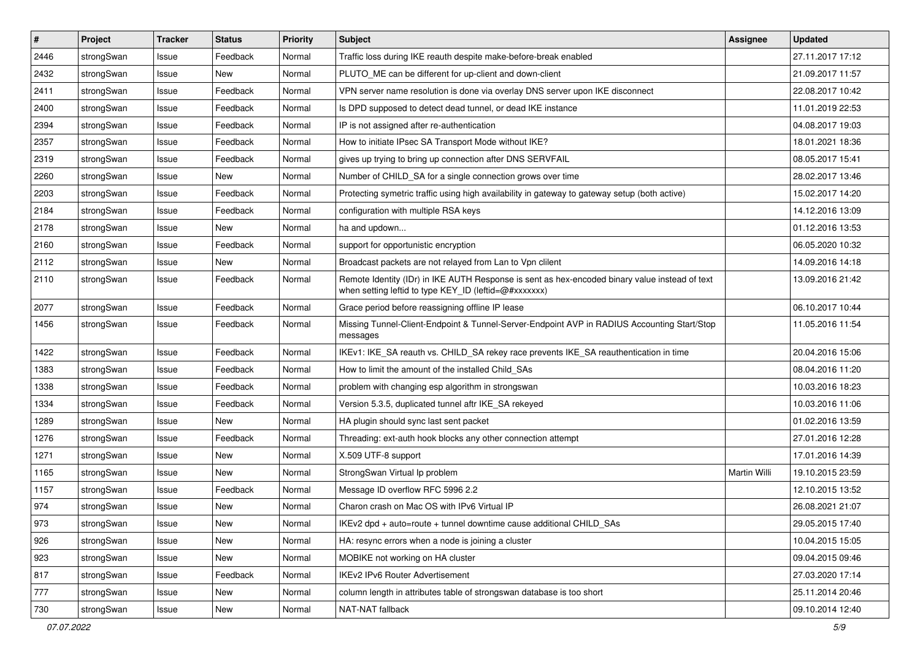| $\sharp$ | Project    | <b>Tracker</b> | <b>Status</b> | <b>Priority</b> | <b>Subject</b>                                                                                                                                          | Assignee     | <b>Updated</b>   |
|----------|------------|----------------|---------------|-----------------|---------------------------------------------------------------------------------------------------------------------------------------------------------|--------------|------------------|
| 2446     | strongSwan | Issue          | Feedback      | Normal          | Traffic loss during IKE reauth despite make-before-break enabled                                                                                        |              | 27.11.2017 17:12 |
| 2432     | strongSwan | Issue          | <b>New</b>    | Normal          | PLUTO_ME can be different for up-client and down-client                                                                                                 |              | 21.09.2017 11:57 |
| 2411     | strongSwan | Issue          | Feedback      | Normal          | VPN server name resolution is done via overlay DNS server upon IKE disconnect                                                                           |              | 22.08.2017 10:42 |
| 2400     | strongSwan | Issue          | Feedback      | Normal          | Is DPD supposed to detect dead tunnel, or dead IKE instance                                                                                             |              | 11.01.2019 22:53 |
| 2394     | strongSwan | Issue          | Feedback      | Normal          | IP is not assigned after re-authentication                                                                                                              |              | 04.08.2017 19:03 |
| 2357     | strongSwan | Issue          | Feedback      | Normal          | How to initiate IPsec SA Transport Mode without IKE?                                                                                                    |              | 18.01.2021 18:36 |
| 2319     | strongSwan | Issue          | Feedback      | Normal          | gives up trying to bring up connection after DNS SERVFAIL                                                                                               |              | 08.05.2017 15:41 |
| 2260     | strongSwan | Issue          | New           | Normal          | Number of CHILD_SA for a single connection grows over time                                                                                              |              | 28.02.2017 13:46 |
| 2203     | strongSwan | Issue          | Feedback      | Normal          | Protecting symetric traffic using high availability in gateway to gateway setup (both active)                                                           |              | 15.02.2017 14:20 |
| 2184     | strongSwan | Issue          | Feedback      | Normal          | configuration with multiple RSA keys                                                                                                                    |              | 14.12.2016 13:09 |
| 2178     | strongSwan | Issue          | New           | Normal          | ha and updown                                                                                                                                           |              | 01.12.2016 13:53 |
| 2160     | strongSwan | Issue          | Feedback      | Normal          | support for opportunistic encryption                                                                                                                    |              | 06.05.2020 10:32 |
| 2112     | strongSwan | Issue          | <b>New</b>    | Normal          | Broadcast packets are not relayed from Lan to Vpn clilent                                                                                               |              | 14.09.2016 14:18 |
| 2110     | strongSwan | Issue          | Feedback      | Normal          | Remote Identity (IDr) in IKE AUTH Response is sent as hex-encoded binary value instead of text<br>when setting leftid to type KEY_ID (leftid=@#xxxxxxx) |              | 13.09.2016 21:42 |
| 2077     | strongSwan | Issue          | Feedback      | Normal          | Grace period before reassigning offline IP lease                                                                                                        |              | 06.10.2017 10:44 |
| 1456     | strongSwan | Issue          | Feedback      | Normal          | Missing Tunnel-Client-Endpoint & Tunnel-Server-Endpoint AVP in RADIUS Accounting Start/Stop<br>messages                                                 |              | 11.05.2016 11:54 |
| 1422     | strongSwan | Issue          | Feedback      | Normal          | IKEv1: IKE_SA reauth vs. CHILD_SA rekey race prevents IKE_SA reauthentication in time                                                                   |              | 20.04.2016 15:06 |
| 1383     | strongSwan | Issue          | Feedback      | Normal          | How to limit the amount of the installed Child SAs                                                                                                      |              | 08.04.2016 11:20 |
| 1338     | strongSwan | Issue          | Feedback      | Normal          | problem with changing esp algorithm in strongswan                                                                                                       |              | 10.03.2016 18:23 |
| 1334     | strongSwan | Issue          | Feedback      | Normal          | Version 5.3.5, duplicated tunnel aftr IKE_SA rekeyed                                                                                                    |              | 10.03.2016 11:06 |
| 1289     | strongSwan | Issue          | <b>New</b>    | Normal          | HA plugin should sync last sent packet                                                                                                                  |              | 01.02.2016 13:59 |
| 1276     | strongSwan | Issue          | Feedback      | Normal          | Threading: ext-auth hook blocks any other connection attempt                                                                                            |              | 27.01.2016 12:28 |
| 1271     | strongSwan | Issue          | <b>New</b>    | Normal          | X.509 UTF-8 support                                                                                                                                     |              | 17.01.2016 14:39 |
| 1165     | strongSwan | Issue          | New           | Normal          | StrongSwan Virtual Ip problem                                                                                                                           | Martin Willi | 19.10.2015 23:59 |
| 1157     | strongSwan | Issue          | Feedback      | Normal          | Message ID overflow RFC 5996 2.2                                                                                                                        |              | 12.10.2015 13:52 |
| 974      | strongSwan | Issue          | New           | Normal          | Charon crash on Mac OS with IPv6 Virtual IP                                                                                                             |              | 26.08.2021 21:07 |
| 973      | strongSwan | Issue          | New           | Normal          | IKEv2 dpd + auto=route + tunnel downtime cause additional CHILD_SAs                                                                                     |              | 29.05.2015 17:40 |
| 926      | strongSwan | Issue          | New           | Normal          | HA: resync errors when a node is joining a cluster                                                                                                      |              | 10.04.2015 15:05 |
| 923      | strongSwan | Issue          | New           | Normal          | MOBIKE not working on HA cluster                                                                                                                        |              | 09.04.2015 09:46 |
| 817      | strongSwan | Issue          | Feedback      | Normal          | IKEv2 IPv6 Router Advertisement                                                                                                                         |              | 27.03.2020 17:14 |
| 777      | strongSwan | Issue          | New           | Normal          | column length in attributes table of strongswan database is too short                                                                                   |              | 25.11.2014 20:46 |
| 730      | strongSwan | Issue          | New           | Normal          | NAT-NAT fallback                                                                                                                                        |              | 09.10.2014 12:40 |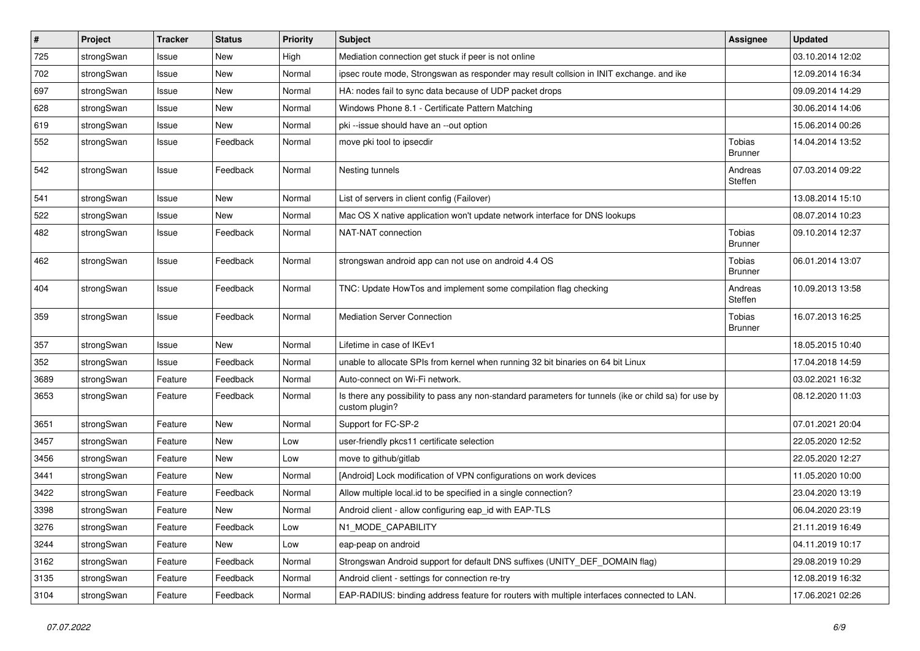| $\vert$ # | Project    | <b>Tracker</b> | <b>Status</b> | <b>Priority</b> | Subject                                                                                                                 | <b>Assignee</b>                 | <b>Updated</b>   |
|-----------|------------|----------------|---------------|-----------------|-------------------------------------------------------------------------------------------------------------------------|---------------------------------|------------------|
| 725       | strongSwan | Issue          | New           | High            | Mediation connection get stuck if peer is not online                                                                    |                                 | 03.10.2014 12:02 |
| 702       | strongSwan | Issue          | <b>New</b>    | Normal          | ipsec route mode, Strongswan as responder may result collsion in INIT exchange. and ike                                 |                                 | 12.09.2014 16:34 |
| 697       | strongSwan | Issue          | New           | Normal          | HA: nodes fail to sync data because of UDP packet drops                                                                 |                                 | 09.09.2014 14:29 |
| 628       | strongSwan | Issue          | New           | Normal          | Windows Phone 8.1 - Certificate Pattern Matching                                                                        |                                 | 30.06.2014 14:06 |
| 619       | strongSwan | Issue          | <b>New</b>    | Normal          | pki --issue should have an --out option                                                                                 |                                 | 15.06.2014 00:26 |
| 552       | strongSwan | Issue          | Feedback      | Normal          | move pki tool to ipsecdir                                                                                               | <b>Tobias</b><br><b>Brunner</b> | 14.04.2014 13:52 |
| 542       | strongSwan | Issue          | Feedback      | Normal          | Nesting tunnels                                                                                                         | Andreas<br>Steffen              | 07.03.2014 09:22 |
| 541       | strongSwan | Issue          | <b>New</b>    | Normal          | List of servers in client config (Failover)                                                                             |                                 | 13.08.2014 15:10 |
| 522       | strongSwan | Issue          | <b>New</b>    | Normal          | Mac OS X native application won't update network interface for DNS lookups                                              |                                 | 08.07.2014 10:23 |
| 482       | strongSwan | Issue          | Feedback      | Normal          | NAT-NAT connection                                                                                                      | Tobias<br><b>Brunner</b>        | 09.10.2014 12:37 |
| 462       | strongSwan | Issue          | Feedback      | Normal          | strongswan android app can not use on android 4.4 OS                                                                    | Tobias<br><b>Brunner</b>        | 06.01.2014 13:07 |
| 404       | strongSwan | Issue          | Feedback      | Normal          | TNC: Update HowTos and implement some compilation flag checking                                                         | Andreas<br>Steffen              | 10.09.2013 13:58 |
| 359       | strongSwan | Issue          | Feedback      | Normal          | <b>Mediation Server Connection</b>                                                                                      | Tobias<br><b>Brunner</b>        | 16.07.2013 16:25 |
| 357       | strongSwan | Issue          | New           | Normal          | Lifetime in case of IKEv1                                                                                               |                                 | 18.05.2015 10:40 |
| 352       | strongSwan | Issue          | Feedback      | Normal          | unable to allocate SPIs from kernel when running 32 bit binaries on 64 bit Linux                                        |                                 | 17.04.2018 14:59 |
| 3689      | strongSwan | Feature        | Feedback      | Normal          | Auto-connect on Wi-Fi network.                                                                                          |                                 | 03.02.2021 16:32 |
| 3653      | strongSwan | Feature        | Feedback      | Normal          | Is there any possibility to pass any non-standard parameters for tunnels (ike or child sa) for use by<br>custom plugin? |                                 | 08.12.2020 11:03 |
| 3651      | strongSwan | Feature        | <b>New</b>    | Normal          | Support for FC-SP-2                                                                                                     |                                 | 07.01.2021 20:04 |
| 3457      | strongSwan | Feature        | New           | Low             | user-friendly pkcs11 certificate selection                                                                              |                                 | 22.05.2020 12:52 |
| 3456      | strongSwan | Feature        | New           | Low             | move to github/gitlab                                                                                                   |                                 | 22.05.2020 12:27 |
| 3441      | strongSwan | Feature        | New           | Normal          | [Android] Lock modification of VPN configurations on work devices                                                       |                                 | 11.05.2020 10:00 |
| 3422      | strongSwan | Feature        | Feedback      | Normal          | Allow multiple local.id to be specified in a single connection?                                                         |                                 | 23.04.2020 13:19 |
| 3398      | strongSwan | Feature        | New           | Normal          | Android client - allow configuring eap id with EAP-TLS                                                                  |                                 | 06.04.2020 23:19 |
| 3276      | strongSwan | Feature        | Feedback      | Low             | N1_MODE_CAPABILITY                                                                                                      |                                 | 21.11.2019 16:49 |
| 3244      | strongSwan | Feature        | New           | Low             | eap-peap on android                                                                                                     |                                 | 04.11.2019 10:17 |
| 3162      | strongSwan | Feature        | Feedback      | Normal          | Strongswan Android support for default DNS suffixes (UNITY_DEF_DOMAIN flag)                                             |                                 | 29.08.2019 10:29 |
| 3135      | strongSwan | Feature        | Feedback      | Normal          | Android client - settings for connection re-try                                                                         |                                 | 12.08.2019 16:32 |
| 3104      | strongSwan | Feature        | Feedback      | Normal          | EAP-RADIUS: binding address feature for routers with multiple interfaces connected to LAN.                              |                                 | 17.06.2021 02:26 |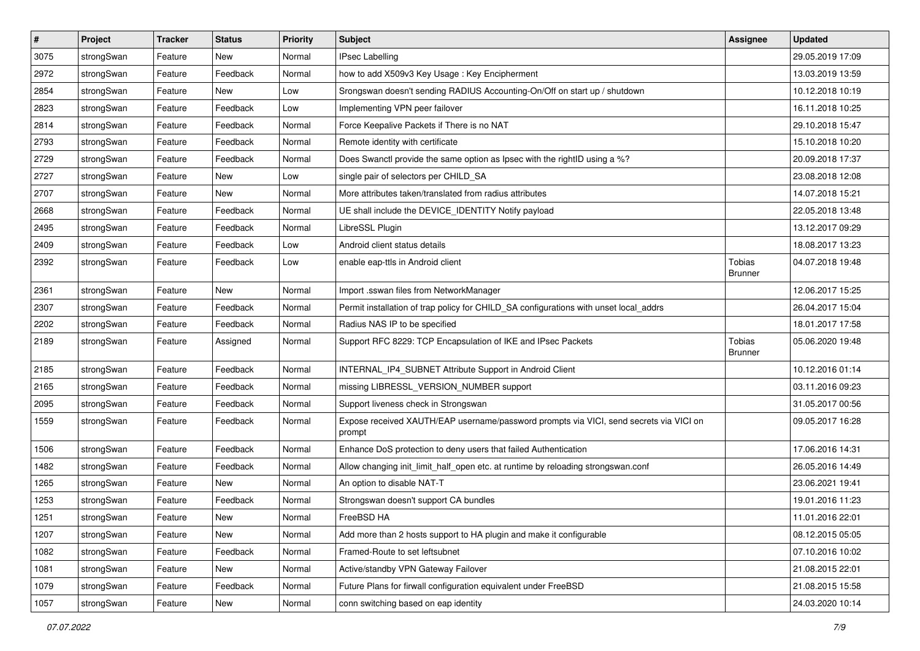| $\pmb{\#}$ | Project    | <b>Tracker</b> | <b>Status</b> | <b>Priority</b> | <b>Subject</b>                                                                                   | <b>Assignee</b>          | <b>Updated</b>   |
|------------|------------|----------------|---------------|-----------------|--------------------------------------------------------------------------------------------------|--------------------------|------------------|
| 3075       | strongSwan | Feature        | New           | Normal          | <b>IPsec Labelling</b>                                                                           |                          | 29.05.2019 17:09 |
| 2972       | strongSwan | Feature        | Feedback      | Normal          | how to add X509v3 Key Usage: Key Encipherment                                                    |                          | 13.03.2019 13:59 |
| 2854       | strongSwan | Feature        | New           | Low             | Srongswan doesn't sending RADIUS Accounting-On/Off on start up / shutdown                        |                          | 10.12.2018 10:19 |
| 2823       | strongSwan | Feature        | Feedback      | Low             | Implementing VPN peer failover                                                                   |                          | 16.11.2018 10:25 |
| 2814       | strongSwan | Feature        | Feedback      | Normal          | Force Keepalive Packets if There is no NAT                                                       |                          | 29.10.2018 15:47 |
| 2793       | strongSwan | Feature        | Feedback      | Normal          | Remote identity with certificate                                                                 |                          | 15.10.2018 10:20 |
| 2729       | strongSwan | Feature        | Feedback      | Normal          | Does Swanctl provide the same option as Ipsec with the rightID using a %?                        |                          | 20.09.2018 17:37 |
| 2727       | strongSwan | Feature        | New           | Low             | single pair of selectors per CHILD_SA                                                            |                          | 23.08.2018 12:08 |
| 2707       | strongSwan | Feature        | New           | Normal          | More attributes taken/translated from radius attributes                                          |                          | 14.07.2018 15:21 |
| 2668       | strongSwan | Feature        | Feedback      | Normal          | UE shall include the DEVICE_IDENTITY Notify payload                                              |                          | 22.05.2018 13:48 |
| 2495       | strongSwan | Feature        | Feedback      | Normal          | LibreSSL Plugin                                                                                  |                          | 13.12.2017 09:29 |
| 2409       | strongSwan | Feature        | Feedback      | Low             | Android client status details                                                                    |                          | 18.08.2017 13:23 |
| 2392       | strongSwan | Feature        | Feedback      | Low             | enable eap-ttls in Android client                                                                | Tobias<br><b>Brunner</b> | 04.07.2018 19:48 |
| 2361       | strongSwan | Feature        | New           | Normal          | Import .sswan files from NetworkManager                                                          |                          | 12.06.2017 15:25 |
| 2307       | strongSwan | Feature        | Feedback      | Normal          | Permit installation of trap policy for CHILD_SA configurations with unset local_addrs            |                          | 26.04.2017 15:04 |
| 2202       | strongSwan | Feature        | Feedback      | Normal          | Radius NAS IP to be specified                                                                    |                          | 18.01.2017 17:58 |
| 2189       | strongSwan | Feature        | Assigned      | Normal          | Support RFC 8229: TCP Encapsulation of IKE and IPsec Packets                                     | <b>Tobias</b><br>Brunner | 05.06.2020 19:48 |
| 2185       | strongSwan | Feature        | Feedback      | Normal          | INTERNAL_IP4_SUBNET Attribute Support in Android Client                                          |                          | 10.12.2016 01:14 |
| 2165       | strongSwan | Feature        | Feedback      | Normal          | missing LIBRESSL_VERSION_NUMBER support                                                          |                          | 03.11.2016 09:23 |
| 2095       | strongSwan | Feature        | Feedback      | Normal          | Support liveness check in Strongswan                                                             |                          | 31.05.2017 00:56 |
| 1559       | strongSwan | Feature        | Feedback      | Normal          | Expose received XAUTH/EAP username/password prompts via VICI, send secrets via VICI on<br>prompt |                          | 09.05.2017 16:28 |
| 1506       | strongSwan | Feature        | Feedback      | Normal          | Enhance DoS protection to deny users that failed Authentication                                  |                          | 17.06.2016 14:31 |
| 1482       | strongSwan | Feature        | Feedback      | Normal          | Allow changing init_limit_half_open etc. at runtime by reloading strongswan.conf                 |                          | 26.05.2016 14:49 |
| 1265       | strongSwan | Feature        | New           | Normal          | An option to disable NAT-T                                                                       |                          | 23.06.2021 19:41 |
| 1253       | strongSwan | Feature        | Feedback      | Normal          | Strongswan doesn't support CA bundles                                                            |                          | 19.01.2016 11:23 |
| 1251       | strongSwan | Feature        | New           | Normal          | FreeBSD HA                                                                                       |                          | 11.01.2016 22:01 |
| 1207       | strongSwan | Feature        | New           | Normal          | Add more than 2 hosts support to HA plugin and make it configurable                              |                          | 08.12.2015 05:05 |
| 1082       | strongSwan | Feature        | Feedback      | Normal          | Framed-Route to set leftsubnet                                                                   |                          | 07.10.2016 10:02 |
| 1081       | strongSwan | Feature        | New           | Normal          | Active/standby VPN Gateway Failover                                                              |                          | 21.08.2015 22:01 |
| 1079       | strongSwan | Feature        | Feedback      | Normal          | Future Plans for firwall configuration equivalent under FreeBSD                                  |                          | 21.08.2015 15:58 |
| 1057       | strongSwan | Feature        | New           | Normal          | conn switching based on eap identity                                                             |                          | 24.03.2020 10:14 |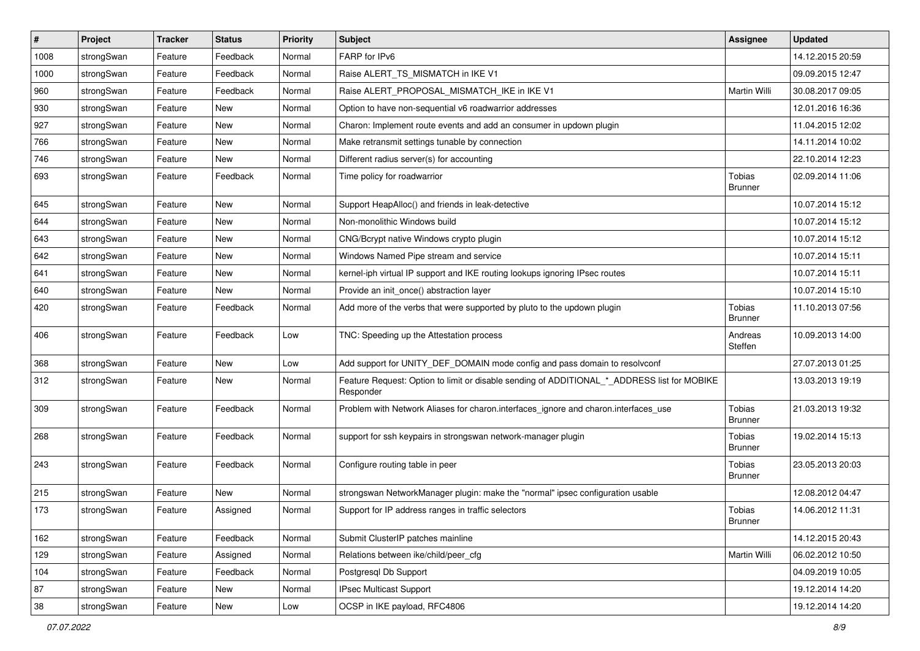| $\vert$ # | Project    | <b>Tracker</b> | <b>Status</b> | <b>Priority</b> | <b>Subject</b>                                                                                           | <b>Assignee</b>          | <b>Updated</b>   |
|-----------|------------|----------------|---------------|-----------------|----------------------------------------------------------------------------------------------------------|--------------------------|------------------|
| 1008      | strongSwan | Feature        | Feedback      | Normal          | FARP for IPv6                                                                                            |                          | 14.12.2015 20:59 |
| 1000      | strongSwan | Feature        | Feedback      | Normal          | Raise ALERT_TS_MISMATCH in IKE V1                                                                        |                          | 09.09.2015 12:47 |
| 960       | strongSwan | Feature        | Feedback      | Normal          | Raise ALERT_PROPOSAL_MISMATCH_IKE in IKE V1                                                              | Martin Willi             | 30.08.2017 09:05 |
| 930       | strongSwan | Feature        | New           | Normal          | Option to have non-sequential v6 roadwarrior addresses                                                   |                          | 12.01.2016 16:36 |
| 927       | strongSwan | Feature        | <b>New</b>    | Normal          | Charon: Implement route events and add an consumer in updown plugin                                      |                          | 11.04.2015 12:02 |
| 766       | strongSwan | Feature        | New           | Normal          | Make retransmit settings tunable by connection                                                           |                          | 14.11.2014 10:02 |
| 746       | strongSwan | Feature        | New           | Normal          | Different radius server(s) for accounting                                                                |                          | 22.10.2014 12:23 |
| 693       | strongSwan | Feature        | Feedback      | Normal          | Time policy for roadwarrior                                                                              | Tobias<br><b>Brunner</b> | 02.09.2014 11:06 |
| 645       | strongSwan | Feature        | <b>New</b>    | Normal          | Support HeapAlloc() and friends in leak-detective                                                        |                          | 10.07.2014 15:12 |
| 644       | strongSwan | Feature        | New           | Normal          | Non-monolithic Windows build                                                                             |                          | 10.07.2014 15:12 |
| 643       | strongSwan | Feature        | New           | Normal          | CNG/Bcrypt native Windows crypto plugin                                                                  |                          | 10.07.2014 15:12 |
| 642       | strongSwan | Feature        | <b>New</b>    | Normal          | Windows Named Pipe stream and service                                                                    |                          | 10.07.2014 15:11 |
| 641       | strongSwan | Feature        | New           | Normal          | kernel-iph virtual IP support and IKE routing lookups ignoring IPsec routes                              |                          | 10.07.2014 15:11 |
| 640       | strongSwan | Feature        | New           | Normal          | Provide an init_once() abstraction layer                                                                 |                          | 10.07.2014 15:10 |
| 420       | strongSwan | Feature        | Feedback      | Normal          | Add more of the verbs that were supported by pluto to the updown plugin                                  | Tobias<br><b>Brunner</b> | 11.10.2013 07:56 |
| 406       | strongSwan | Feature        | Feedback      | Low             | TNC: Speeding up the Attestation process                                                                 | Andreas<br>Steffen       | 10.09.2013 14:00 |
| 368       | strongSwan | Feature        | <b>New</b>    | Low             | Add support for UNITY_DEF_DOMAIN mode config and pass domain to resolvconf                               |                          | 27.07.2013 01:25 |
| 312       | strongSwan | Feature        | <b>New</b>    | Normal          | Feature Request: Option to limit or disable sending of ADDITIONAL_*_ADDRESS list for MOBIKE<br>Responder |                          | 13.03.2013 19:19 |
| 309       | strongSwan | Feature        | Feedback      | Normal          | Problem with Network Aliases for charon.interfaces_ignore and charon.interfaces_use                      | Tobias<br><b>Brunner</b> | 21.03.2013 19:32 |
| 268       | strongSwan | Feature        | Feedback      | Normal          | support for ssh keypairs in strongswan network-manager plugin                                            | Tobias<br><b>Brunner</b> | 19.02.2014 15:13 |
| 243       | strongSwan | Feature        | Feedback      | Normal          | Configure routing table in peer                                                                          | Tobias<br><b>Brunner</b> | 23.05.2013 20:03 |
| 215       | strongSwan | Feature        | <b>New</b>    | Normal          | strongswan NetworkManager plugin: make the "normal" ipsec configuration usable                           |                          | 12.08.2012 04:47 |
| 173       | strongSwan | Feature        | Assigned      | Normal          | Support for IP address ranges in traffic selectors                                                       | Tobias<br><b>Brunner</b> | 14.06.2012 11:31 |
| 162       | strongSwan | Feature        | Feedback      | Normal          | Submit ClusterIP patches mainline                                                                        |                          | 14.12.2015 20:43 |
| 129       | strongSwan | Feature        | Assigned      | Normal          | Relations between ike/child/peer_cfg                                                                     | Martin Willi             | 06.02.2012 10:50 |
| 104       | strongSwan | Feature        | Feedback      | Normal          | Postgresql Db Support                                                                                    |                          | 04.09.2019 10:05 |
| 87        | strongSwan | Feature        | New           | Normal          | <b>IPsec Multicast Support</b>                                                                           |                          | 19.12.2014 14:20 |
| 38        | strongSwan | Feature        | New           | Low             | OCSP in IKE payload, RFC4806                                                                             |                          | 19.12.2014 14:20 |